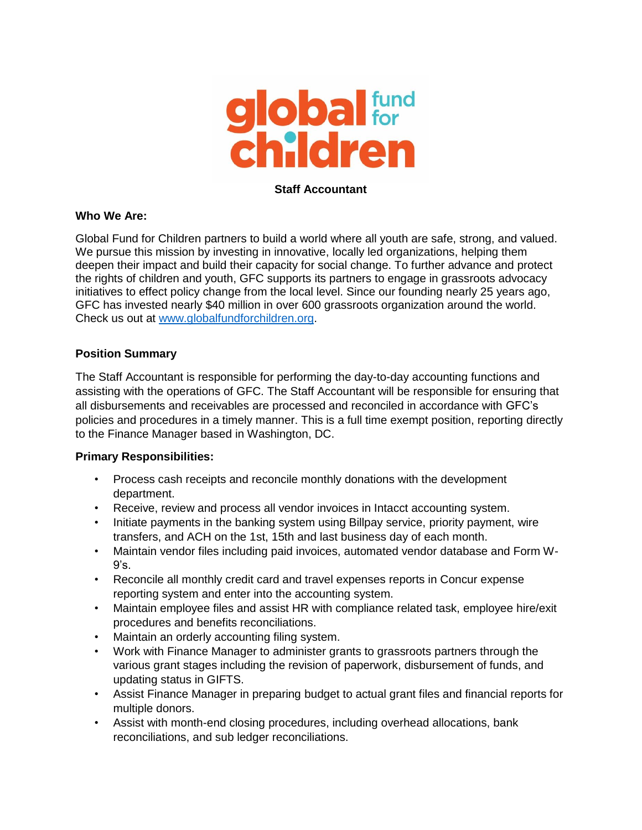

### **Staff Accountant**

### **Who We Are:**

Global Fund for Children partners to build a world where all youth are safe, strong, and valued. We pursue this mission by investing in innovative, locally led organizations, helping them deepen their impact and build their capacity for social change. To further advance and protect the rights of children and youth, GFC supports its partners to engage in grassroots advocacy initiatives to effect policy change from the local level. Since our founding nearly 25 years ago, GFC has invested nearly \$40 million in over 600 grassroots organization around the world. Check us out at [www.globalfundforchildren.org.](http://www.globalfundforchildren.org/)

## **Position Summary**

The Staff Accountant is responsible for performing the day-to-day accounting functions and assisting with the operations of GFC. The Staff Accountant will be responsible for ensuring that all disbursements and receivables are processed and reconciled in accordance with GFC's policies and procedures in a timely manner. This is a full time exempt position, reporting directly to the Finance Manager based in Washington, DC.

#### **Primary Responsibilities:**

- Process cash receipts and reconcile monthly donations with the development department.
- Receive, review and process all vendor invoices in Intacct accounting system.
- Initiate payments in the banking system using Billpay service, priority payment, wire transfers, and ACH on the 1st, 15th and last business day of each month.
- Maintain vendor files including paid invoices, automated vendor database and Form W- $9's.$
- Reconcile all monthly credit card and travel expenses reports in Concur expense reporting system and enter into the accounting system.
- Maintain employee files and assist HR with compliance related task, employee hire/exit procedures and benefits reconciliations.
- Maintain an orderly accounting filing system.
- Work with Finance Manager to administer grants to grassroots partners through the various grant stages including the revision of paperwork, disbursement of funds, and updating status in GIFTS.
- Assist Finance Manager in preparing budget to actual grant files and financial reports for multiple donors.
- Assist with month-end closing procedures, including overhead allocations, bank reconciliations, and sub ledger reconciliations.